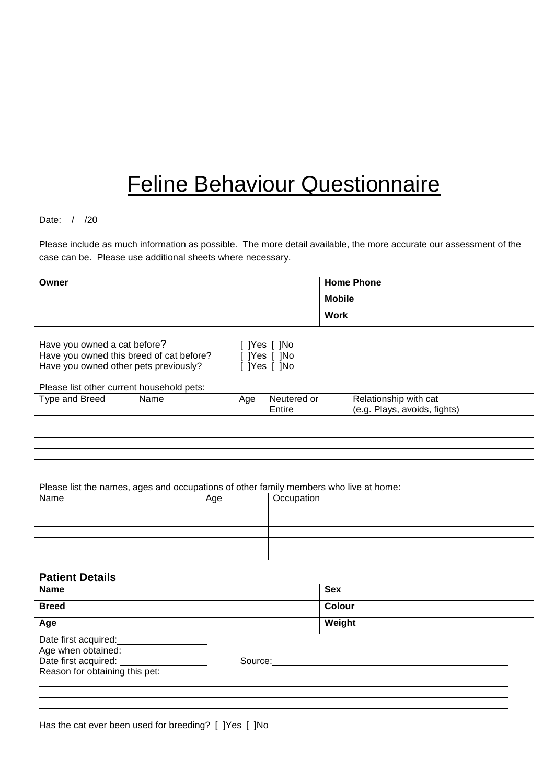# Feline Behaviour Questionnaire

# Date: / /20

Please include as much information as possible. The more detail available, the more accurate our assessment of the case can be. Please use additional sheets where necessary.

| Owner | <b>Home Phone</b> |  |
|-------|-------------------|--|
|       | <b>Mobile</b>     |  |
|       | <b>Work</b>       |  |

Have you owned a cat before? Have you owned this breed of cat before? Have you owned other pets previously?

| ]Yes [ ]No |  |
|------------|--|
| ]Yes [ ]No |  |
| IYes [ INo |  |

Please list other current household pets:

| Type and Breed | Name | Age | Neutered or<br>Entire | Relationship with cat<br>(e.g. Plays, avoids, fights) |
|----------------|------|-----|-----------------------|-------------------------------------------------------|
|                |      |     |                       |                                                       |
|                |      |     |                       |                                                       |
|                |      |     |                       |                                                       |
|                |      |     |                       |                                                       |
|                |      |     |                       |                                                       |

Please list the names, ages and occupations of other family members who live at home:

| Name | Age | Occupation |
|------|-----|------------|
|      |     |            |
|      |     |            |
|      |     |            |
|      |     |            |
|      |     |            |

# **Patient Details**

| <b>Name</b>                    |         | <b>Sex</b> |
|--------------------------------|---------|------------|
| <b>Breed</b>                   |         | Colour     |
| Age                            |         | Weight     |
| Date first acquired:           |         |            |
| Age when obtained:             |         |            |
| Date first acquired:           | Source: |            |
| Reason for obtaining this pet: |         |            |
|                                |         |            |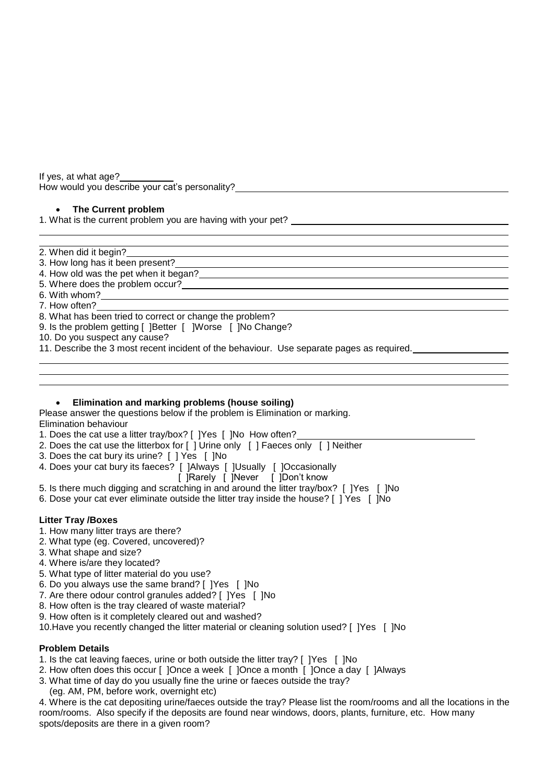If yes, at what age?\_ How would you describe your cat's personality?

# **The Current problem**

1. What is the current problem you are having with your pet?

- 2. When did it begin?
- 3. How long has it been present?
- 4. How old was the pet when it began? .
- 5. Where does the problem occur? .
- 6. With whom? .
- 7. How often? .
- 8. What has been tried to correct or change the problem?
- 9. Is the problem getting [ ]Better [ ]Worse [ ]No Change?
- 10. Do you suspect any cause?
- 11. Describe the 3 most recent incident of the behaviour. Use separate pages as required.

# **Elimination and marking problems (house soiling)**

Please answer the questions below if the problem is Elimination or marking. Elimination behaviour

- 1. Does the cat use a litter tray/box? [ ]Yes [ ]No How often?
- 2. Does the cat use the litterbox for [ ] Urine only [ ] Faeces only [ ] Neither
- 3. Does the cat bury its urine? [ ] Yes [ ]No
- 4. Does your cat bury its faeces? [ ]Always [ ]Usually [ ]Occasionally
	- [ ]Rarely [ ]Never [ ]Don't know
- 5. Is there much digging and scratching in and around the litter tray/box? [ ]Yes [ ]No
- 6. Dose your cat ever eliminate outside the litter tray inside the house? [ ] Yes [ ]No

# **Litter Tray /Boxes**

- 1. How many litter trays are there?
- 2. What type (eg. Covered, uncovered)?
- 3. What shape and size?
- 4. Where is/are they located?
- 5. What type of litter material do you use?
- 6. Do you always use the same brand? [ ]Yes [ ]No
- 7. Are there odour control granules added? [ ]Yes [ ]No
- 8. How often is the tray cleared of waste material?
- 9. How often is it completely cleared out and washed?
- 10.Have you recently changed the litter material or cleaning solution used? [ ]Yes [ ]No

# **Problem Details**

- 1. Is the cat leaving faeces, urine or both outside the litter tray? [ ]Yes [ ]No
- 2. How often does this occur [ ]Once a week [ ]Once a month [ ]Once a day [ ]Always
- 3. What time of day do you usually fine the urine or faeces outside the tray?
- (eg. AM, PM, before work, overnight etc)

4. Where is the cat depositing urine/faeces outside the tray? Please list the room/rooms and all the locations in the room/rooms. Also specify if the deposits are found near windows, doors, plants, furniture, etc. How many spots/deposits are there in a given room?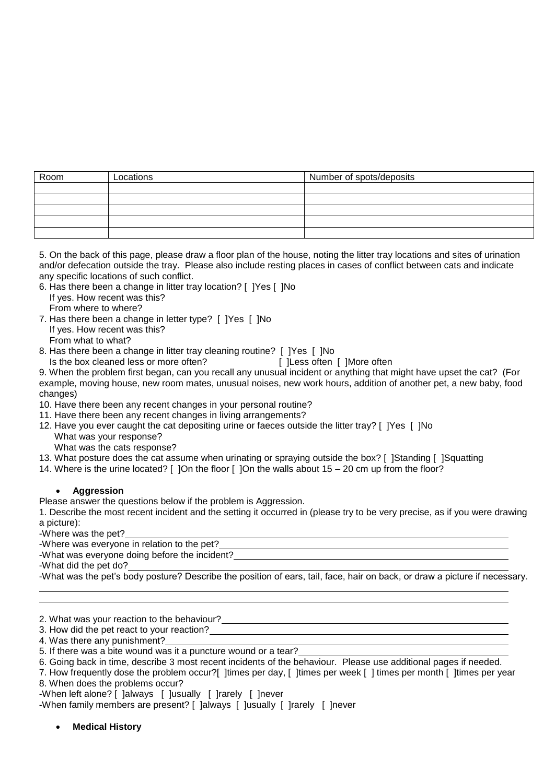| Room | Locations | Number of spots/deposits |
|------|-----------|--------------------------|
|      |           |                          |
|      |           |                          |
|      |           |                          |
|      |           |                          |
|      |           |                          |

5. On the back of this page, please draw a floor plan of the house, noting the litter tray locations and sites of urination and/or defecation outside the tray. Please also include resting places in cases of conflict between cats and indicate any specific locations of such conflict.

- 6. Has there been a change in litter tray location? [ ]Yes [ ]No If yes. How recent was this?
- From where to where?
- 7. Has there been a change in letter type? [ ]Yes [ ]No If yes. How recent was this? From what to what?
- 8. Has there been a change in litter tray cleaning routine? [ ]Yes [ ]No
	- Is the box cleaned less or more often? [ ]Less often [ ]More often

9. When the problem first began, can you recall any unusual incident or anything that might have upset the cat? (For example, moving house, new room mates, unusual noises, new work hours, addition of another pet, a new baby, food changes)

- 10. Have there been any recent changes in your personal routine?
- 11. Have there been any recent changes in living arrangements?
- 12. Have you ever caught the cat depositing urine or faeces outside the litter tray? [ ]Yes [ ]No What was your response?
	- What was the cats response?
- 13. What posture does the cat assume when urinating or spraying outside the box? [ ]Standing [ ]Squatting
- 14. Where is the urine located? [ ]On the floor [ ]On the walls about 15 20 cm up from the floor?

# **Aggression**

Please answer the questions below if the problem is Aggression.

1. Describe the most recent incident and the setting it occurred in (please try to be very precise, as if you were drawing a picture):

-Where was the pet?

-Where was everyone in relation to the pet?

-What was everyone doing before the incident? .

-What did the pet do? .

-What was the pet's body posture? Describe the position of ears, tail, face, hair on back, or draw a picture if necessary.

2. What was your reaction to the behaviour? .

3. How did the pet react to your reaction? .

- 4. Was there any punishment?
- 5. If there was a bite wound was it a puncture wound or a tear?

6. Going back in time, describe 3 most recent incidents of the behaviour. Please use additional pages if needed.

7. How frequently dose the problem occur?[ ]times per day, [ ]times per week [ ] times per month [ ]times per year 8. When does the problems occur?

-When left alone? [ ]always [ ]usually [ ]rarely [ ]never

-When family members are present? [ ]always [ ]usually [ ]rarely [ ]never

**Medical History**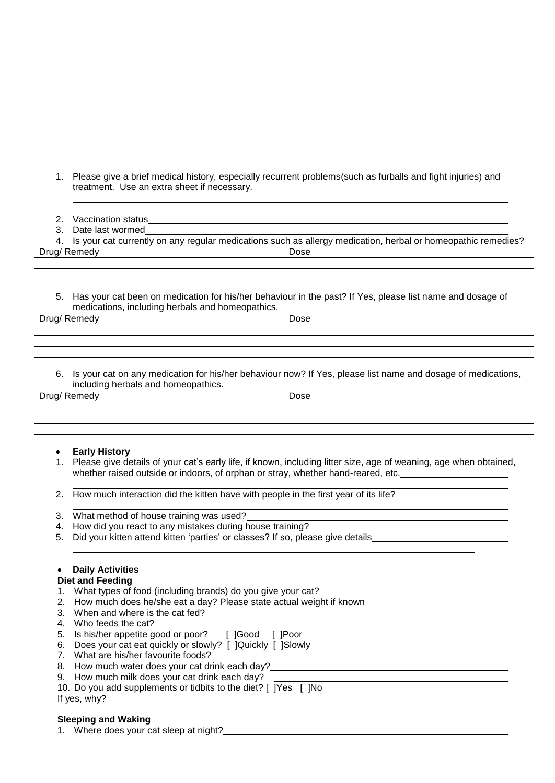- 1. Please give a brief medical history, especially recurrent problems(such as furballs and fight injuries) and treatment. Use an extra sheet if necessary.
- 2. Vaccination status **Exercísies Contract Contract Contract Contract Contract Contract Contract Contract Contract Contract Contract Contract Contract Contract Contract Contract Contract Contract Contract Contract Contra**
- 3. Date last wormed .

| 4. Is your cat currently on any regular medications such as allergy medication, herbal or homeopathic remedies?                                                  |      |  |  |
|------------------------------------------------------------------------------------------------------------------------------------------------------------------|------|--|--|
| Drug/Remedy                                                                                                                                                      | Dose |  |  |
|                                                                                                                                                                  |      |  |  |
|                                                                                                                                                                  |      |  |  |
|                                                                                                                                                                  |      |  |  |
| 5. Has your cat been on medication for his/her behaviour in the past? If Yes, please list name and dosage of<br>medications, including herbals and homeopathics. |      |  |  |
| Drug/Remedy<br>Dose                                                                                                                                              |      |  |  |

| Drug/ Remedy | Dose |
|--------------|------|
|              |      |
|              |      |
|              |      |

6. Is your cat on any medication for his/her behaviour now? If Yes, please list name and dosage of medications, including herbals and homeopathics.

| Drug/ Remedy | Dose |
|--------------|------|
|              |      |
|              |      |
|              |      |

# **Early History**

- 1. Please give details of your cat's early life, if known, including litter size, age of weaning, age when obtained, whether raised outside or indoors, of orphan or stray, whether hand-reared, etc.
- 2. How much interaction did the kitten have with people in the first year of its life?
- 3. What method of house training was used?
- 4. How did you react to any mistakes during house training?
- 5. Did your kitten attend kitten 'parties' or classes? If so, please give details

# **Daily Activities**

# **Diet and Feeding**

- 1. What types of food (including brands) do you give your cat?
- 2. How much does he/she eat a day? Please state actual weight if known
- 3. When and where is the cat fed?
- 4. Who feeds the cat?
- 5. Is his/her appetite good or poor? [ ]Good [ ]Poor
- 6. Does your cat eat quickly or slowly? [ ]Quickly [ ]Slowly
- 7. What are his/her favourite foods?
- 8. How much water does your cat drink each day?
- 9. How much milk does your cat drink each day?
- 10. Do you add supplements or tidbits to the diet? [  $\overline{Y}$  |  $\overline{Y}$  |  $\overline{X}$  |  $\overline{X}$  |  $\overline{X}$  |  $\overline{X}$  |  $\overline{X}$  |  $\overline{X}$  |  $\overline{X}$  |  $\overline{X}$  |  $\overline{X}$  |  $\overline{X}$  |  $\overline{X}$  |  $\overline{X}$  |  $\overline{X}$  |  $\overline$ If yes, why?

#### **Sleeping and Waking**

1. Where does your cat sleep at night?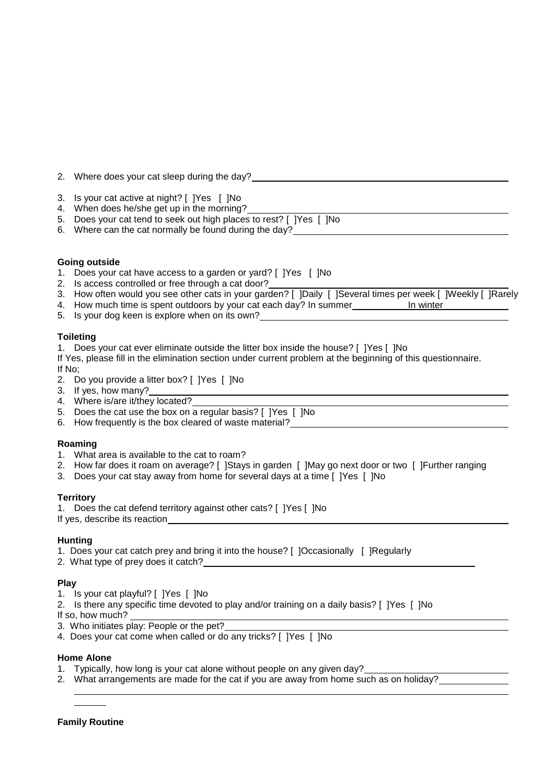2. Where does your cat sleep during the day? 3. Is your cat active at night? [ ]Yes [ ]No 4. When does he/she get up in the morning? 5. Does your cat tend to seek out high places to rest? [ ]Yes [ ]No 6. Where can the cat normally be found during the day? **Going outside** 1. Does your cat have access to a garden or yard? [ ]Yes [ ]No 2. Is access controlled or free through a cat door? 3. How often would you see other cats in your garden? [ ]Daily [ ]Several times per week [ ]Weekly [ ]Rarely 4. How much time is spent outdoors by your cat each day? In summer **In winter** 5. Is your dog keen is explore when on its own? **Toileting** 1. Does your cat ever eliminate outside the litter box inside the house? [ ]Yes [ ]No If Yes, please fill in the elimination section under current problem at the beginning of this questionnaire. If No; 2. Do you provide a litter box? [ ]Yes [ ]No 3. If yes, how many? 4. Where is/are it/they located? 5. Does the cat use the box on a regular basis? [ ]Yes [ ]No 6. How frequently is the box cleared of waste material?

# **Roaming**

- 1. What area is available to the cat to roam?
- 2. How far does it roam on average? [ ]Stays in garden [ ]May go next door or two [ ]Further ranging
- 3. Does your cat stay away from home for several days at a time [ ]Yes [ ]No

#### **Territory**

1. Does the cat defend territory against other cats? [ ]Yes [ ]No If yes, describe its reaction

# **Hunting**

- 1. Does your cat catch prey and bring it into the house? [ ]Occasionally [ ]Regularly
- 2. What type of prey does it catch?

# **Play**

- 1. Is your cat playful? [ ]Yes [ ]No
- 2. Is there any specific time devoted to play and/or training on a daily basis? [ ]Yes [ ]No
- If so, how much?
- 3. Who initiates play: People or the pet?
- 4. Does your cat come when called or do any tricks? [ ]Yes [ ]No

#### **Home Alone**

- 1. Typically, how long is your cat alone without people on any given day?
- 2. What arrangements are made for the cat if you are away from home such as on holiday?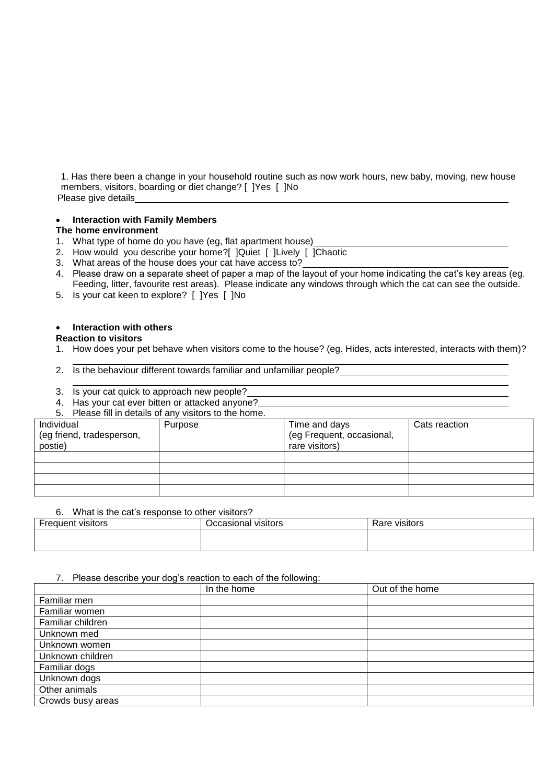1. Has there been a change in your household routine such as now work hours, new baby, moving, new house members, visitors, boarding or diet change? [ ]Yes [ ]No Please give details

# **Interaction with Family Members**

# **The home environment**

- 1. What type of home do you have (eg, flat apartment house)
- 2. How would you describe your home?[ ]Quiet [ ]Lively [ ]Chaotic
- 3. What areas of the house does your cat have access to?
- 4. Please draw on a separate sheet of paper a map of the layout of your home indicating the cat's key areas (eg. Feeding, litter, favourite rest areas). Please indicate any windows through which the cat can see the outside.
- 5. Is your cat keen to explore? [ ]Yes [ ]No

#### **Interaction with others**

#### **Reaction to visitors**

- 1. How does your pet behave when visitors come to the house? (eg. Hides, acts interested, interacts with them)?
- 2. Is the behaviour different towards familiar and unfamiliar people?
- 3. Is your cat quick to approach new people?
- 4. Has your cat ever bitten or attacked anyone?
- Please fill in details of any visitors to the home.

| <b>U.</b> The down in a details be any visitors to the nome. |         |                                                              |               |  |  |
|--------------------------------------------------------------|---------|--------------------------------------------------------------|---------------|--|--|
| Individual<br>(eg friend, tradesperson,<br>postie)           | Purpose | Time and days<br>(eg Frequent, occasional,<br>rare visitors) | Cats reaction |  |  |
|                                                              |         |                                                              |               |  |  |
|                                                              |         |                                                              |               |  |  |
|                                                              |         |                                                              |               |  |  |
|                                                              |         |                                                              |               |  |  |

#### 6. What is the cat's response to other visitors?

| Frequent<br>VISItors | Visitors<br>⊃ccasıonal <sup>.</sup> | Rare<br>≅∨isitors |
|----------------------|-------------------------------------|-------------------|
|                      |                                     |                   |
|                      |                                     |                   |

#### 7. Please describe your dog's reaction to each of the following:

|                   | In the home | Out of the home |
|-------------------|-------------|-----------------|
| Familiar men      |             |                 |
| Familiar women    |             |                 |
| Familiar children |             |                 |
| Unknown med       |             |                 |
| Unknown women     |             |                 |
| Unknown children  |             |                 |
| Familiar dogs     |             |                 |
| Unknown dogs      |             |                 |
| Other animals     |             |                 |
| Crowds busy areas |             |                 |